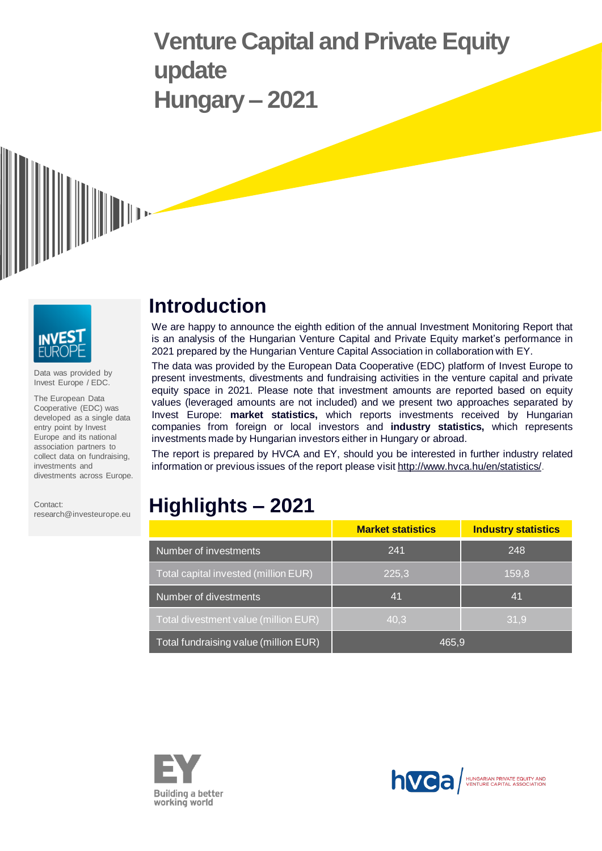# **Venture Capital and Private Equity update Hungary – 2021**





Data was provided by Invest Europe / EDC.

The European Data Cooperative (EDC) was developed as a single data entry point by Invest Europe and its national association partners to collect data on fundraising, investments and divestments across Europe.

Contact: research@investeurope.eu

## **Introduction**

We are happy to announce the eighth edition of the annual Investment Monitoring Report that is an analysis of the Hungarian Venture Capital and Private Equity market's performance in 2021 prepared by the Hungarian Venture Capital Association in collaboration with EY.

The data was provided by the European Data Cooperative (EDC) platform of Invest Europe to present investments, divestments and fundraising activities in the venture capital and private equity space in 2021. Please note that investment amounts are reported based on equity values (leveraged amounts are not included) and we present two approaches separated by Invest Europe: **market statistics,** which reports investments received by Hungarian companies from foreign or local investors and **industry statistics,** which represents investments made by Hungarian investors either in Hungary or abroad.

The report is prepared by HVCA and EY, should you be interested in further industry related information or previous issues of the report please visit [http://www.hvca.hu/en/statistics/.](http://www.hvca.hu/en/statistics/)

## **Highlights – 2021**

|                                       | <b>Market statistics</b> | <b>Industry statistics</b> |  |  |
|---------------------------------------|--------------------------|----------------------------|--|--|
| Number of investments                 | 241                      | 248                        |  |  |
| Total capital invested (million EUR)  | 225,3                    | 159,8                      |  |  |
| Number of divestments                 | 41                       | 41                         |  |  |
| Total divestment value (million EUR)  | 40.3                     | 31,9                       |  |  |
| Total fundraising value (million EUR) | 465.9                    |                            |  |  |



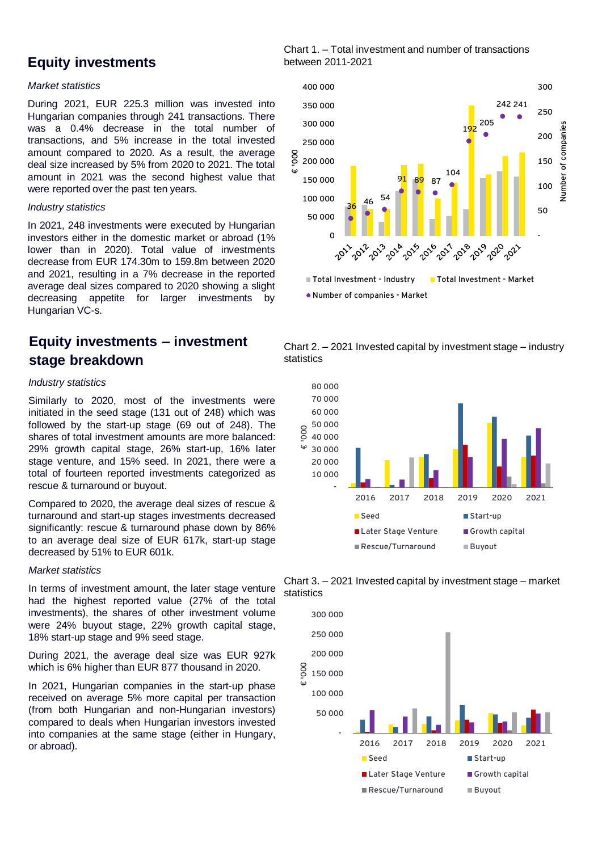### **Equity investments**

#### *Market statistics*

During 2021, EUR 225.3 million was invested into Hungarian companies through 241 transactions. There was a 0.4% decrease in the total number of transactions, and 5% increase in the total invested amount compared to 2020. As a result, the average deal size increased by 5% from 2020 to 2021. The total amount in 2021 was the second highest value that were reported over the past ten years.

#### *Industry statistics*

In 2021, 248 investments were executed by Hungarian investors either in the domestic market or abroad (1% lower than in 2020). Total value of investments decrease from EUR 174.30m to 159.8m between 2020 and 2021, resulting in a 7% decrease in the reported average deal sizes compared to 2020 showing a slight decreasing appetite for larger investments by Hungarian VC-s.

## **Equity investments – investment stage breakdown**

#### *Industry statistics*

Similarly to 2020, most of the investments were initiated in the seed stage (131 out of 248) which was followed by the start-up stage (69 out of 248). The shares of total investment amounts are more balanced: 29% growth capital stage, 26% start-up, 16% later stage venture, and 15% seed. In 2021, there were a total of fourteen reported investments categorized as rescue & turnaround or buyout.

Compared to 2020, the average deal sizes of rescue & turnaround and start-up stages investments decreased significantly: rescue & turnaround phase down by 86% to an average deal size of EUR 617k, start-up stage decreased by 51% to EUR 601k.

#### *Market statistics*

In terms of investment amount, the later stage venture had the highest reported value (27% of the total investments), the shares of other investment volume were 24% buyout stage, 22% growth capital stage, 18% start-up stage and 9% seed stage.

During 2021, the average deal size was EUR 927k which is 6% higher than EUR 877 thousand in 2020.

In 2021, Hungarian companies in the start-up phase received on average 5% more capital per transaction (from both Hungarian and non-Hungarian investors) compared to deals when Hungarian investors invested into companies at the same stage (either in Hungary, or abroad).

Chart 1. – Total investment and number of transactions between 2011-2021



Chart 2. – 2021 Invested capital by investment stage – industry statistics



Chart 3. – 2021 Invested capital by investment stage – market statistics

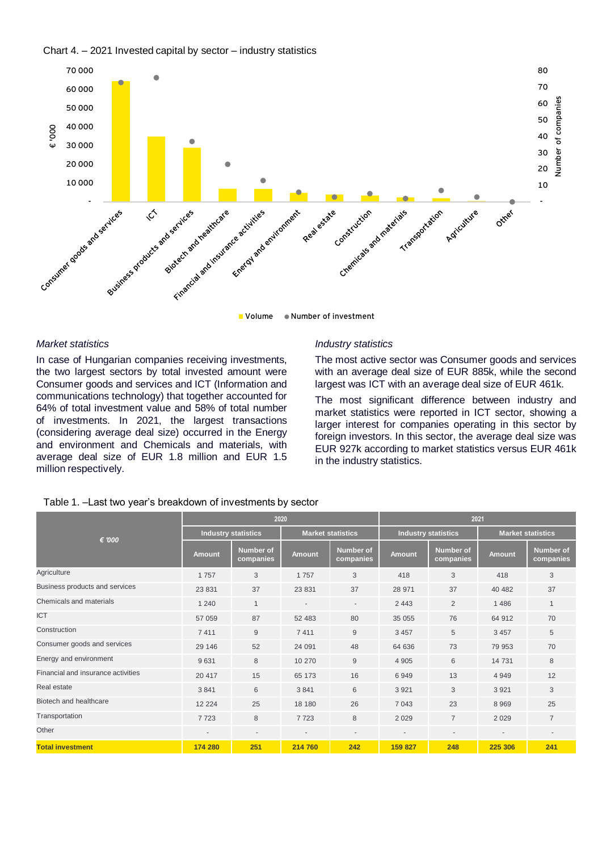



**Explorering investments in vertice** and **a** 

#### *Market statistics*

In case of Hungarian companies receiving investments, the two largest sectors by total invested amount were Consumer goods and services and ICT (Information and communications technology) that together accounted for 64% of total investment value and 58% of total number of investments. In 2021, the largest transactions (considering average deal size) occurred in the Energy and environment and Chemicals and materials, with average deal size of EUR 1.8 million and EUR 1.5 million respectively.

#### *Industry statistics*

The most active sector was Consumer goods and services with an average deal size of EUR 885k, while the second largest was ICT with an average deal size of EUR 461k.

The most significant difference between industry and market statistics were reported in ICT sector, showing a larger interest for companies operating in this sector by foreign investors. In this sector, the average deal size was EUR 927k according to market statistics versus EUR 461k in the industry statistics.

| € '000                             | 2020                       |                               |                          |                          | 2021                       |                               |                          |                               |
|------------------------------------|----------------------------|-------------------------------|--------------------------|--------------------------|----------------------------|-------------------------------|--------------------------|-------------------------------|
|                                    | <b>Industry statistics</b> |                               | <b>Market statistics</b> |                          | <b>Industry statistics</b> |                               | <b>Market statistics</b> |                               |
|                                    | <b>Amount</b>              | <b>Number of</b><br>companies | <b>Amount</b>            | Number of<br>companies   | <b>Amount</b>              | <b>Number of</b><br>companies | <b>Amount</b>            | <b>Number of</b><br>companies |
| Agriculture                        | 1757                       | 3                             | 1757                     | 3                        | 418                        | 3                             | 418                      | 3                             |
| Business products and services     | 23 831                     | 37                            | 23 831                   | 37                       | 28 971                     | 37                            | 40 482                   | 37                            |
| Chemicals and materials            | 1 2 4 0                    | $\mathbf{1}$                  |                          | $\overline{\phantom{a}}$ | 2 4 4 3                    | $\overline{2}$                | 1486                     | $\mathbf{1}$                  |
| <b>ICT</b>                         | 57 059                     | 87                            | 52 483                   | 80                       | 35 055                     | 76                            | 64 912                   | 70                            |
| Construction                       | 7411                       | 9                             | 7411                     | 9                        | 3 4 5 7                    | 5                             | 3 4 5 7                  | 5                             |
| Consumer goods and services        | 29 14 6                    | 52                            | 24 091                   | 48                       | 64 636                     | 73                            | 79 953                   | 70                            |
| Energy and environment             | 9631                       | 8                             | 10 270                   | 9                        | 4 9 0 5                    | 6                             | 14 731                   | 8                             |
| Financial and insurance activities | 20 417                     | 15                            | 65 173                   | 16                       | 6949                       | 13                            | 4 9 4 9                  | 12                            |
| Real estate                        | 3841                       | 6                             | 3841                     | 6                        | 3 9 21                     | 3                             | 3 9 2 1                  | 3                             |
| Biotech and healthcare             | 12 2 2 4                   | 25                            | 18 180                   | 26                       | 7 0 4 3                    | 23                            | 8969                     | 25                            |
| Transportation                     | 7723                       | 8                             | 7723                     | 8                        | 2029                       | $\overline{7}$                | 2029                     | $\overline{7}$                |
| Other                              | $\overline{\phantom{a}}$   | $\overline{\phantom{a}}$      |                          | $\overline{\phantom{a}}$ | ٠                          | $\overline{\phantom{a}}$      | $\overline{\phantom{a}}$ | ٠                             |
| <b>Total investment</b>            | 174 280                    | 251                           | 214 760                  | 242                      | 159 827                    | 248                           | 225 306                  | 241                           |

#### Table 1. –Last two year's breakdown of investments by sector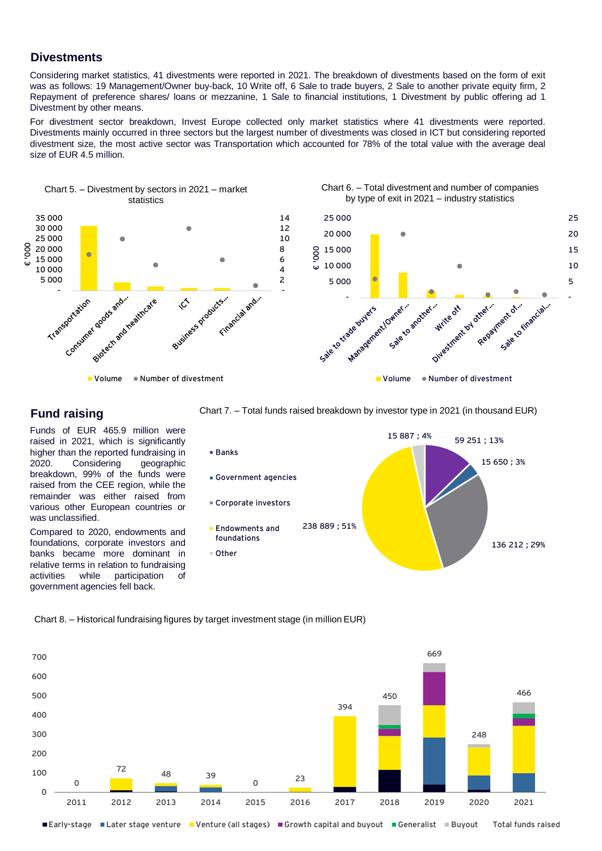#### **Divestments**

Considering market statistics, 41 divestments were reported in 2021. The breakdown of divestments based on the form of exit was as follows: 19 Management/Owner buy-back, 10 Write off, 6 Sale to trade buyers, 2 Sale to another private equity firm, 2 Repayment of preference shares/ loans or mezzanine, 1 Sale to financial institutions, 1 Divestment by public offering ad 1 Divestment by other means.

For divestment sector breakdown, Invest Europe collected only market statistics where 41 divestments were reported. Divestments mainly occurred in three sectors but the largest number of divestments was closed in ICT but considering reported divestment size, the most active sector was Transportation which accounted for 78% of the total value with the average deal size of EUR 4.5 million.



#### **Fund raising**

Funds of EUR 465.9 million were raised in 2021, which is significantly higher than the reported fundraising in 2020. Considering geographic breakdown, 99% of the funds were raised from the CEE region, while the remainder was either raised from various other European countries or was unclassified.

Compared to 2020, endowments and foundations, corporate investors and banks became more dominant in relative terms in relation to fundraising activities while participation of government agencies fell back.

Chart 7. – Total funds raised breakdown by investor type in 2021 (in thousand EUR)



Chart 8. – Historical fundraising figures by target investment stage (in million EUR)